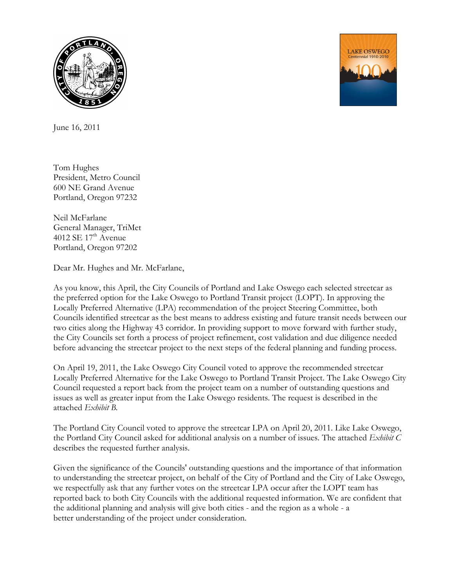



June 16, 2011

Tom Hughes President, Metro Council 600 NE Grand Avenue Portland, Oregon 97232

Neil McFarlane General Manager, TriMet 4012 SE  $17<sup>th</sup>$  Avenue Portland, Oregon 97202

Dear Mr. Hughes and Mr. McFarlane,

As you know, this April, the City Councils of Portland and Lake Oswego each selected streetcar as the preferred option for the Lake Oswego to Portland Transit project (LOPT). In approving the Locally Preferred Alternative (LPA) recommendation of the project Steering Committee, both Councils identified streetcar as the best means to address existing and future transit needs between our two cities along the Highway 43 corridor. In providing support to move forward with further study, the City Councils set forth a process of project refinement, cost validation and due diligence needed before advancing the streetcar project to the next steps of the federal planning and funding process.

On April 19, 2011, the Lake Oswego City Council voted to approve the recommended streetcar Locally Preferred Alternative for the Lake Oswego to Portland Transit Project. The Lake Oswego City Council requested a report back from the project team on a number of outstanding questions and issues as well as greater input from the Lake Oswego residents. The request is described in the attached *Exhibit B.*

The Portland City Council voted to approve the streetcar LPA on April 20, 2011. Like Lake Oswego, the Portland City Council asked for additional analysis on a number of issues. The attached *Exhibit C*  describes the requested further analysis.

Given the significance of the Councils' outstanding questions and the importance of that information to understanding the streetcar project, on behalf of the City of Portland and the City of Lake Oswego, we respectfully ask that any further votes on the streetcar LPA occur after the LOPT team has reported back to both City Councils with the additional requested information. We are confident that the additional planning and analysis will give both cities - and the region as a whole - a better understanding of the project under consideration.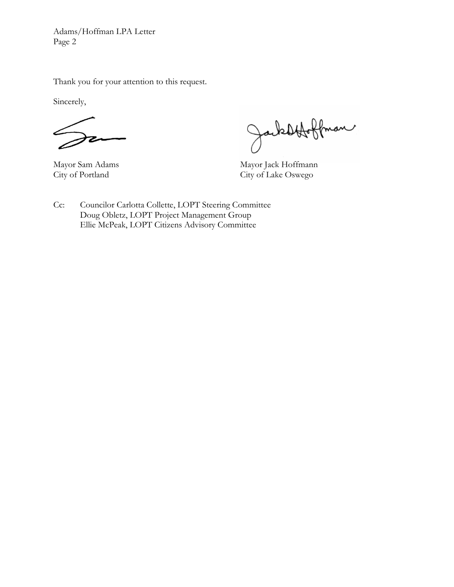Adams/Hoffman LPA Letter Page 2

Thank you for your attention to this request.

Sincerely,

Jacksbfolkman

Mayor Sam Adams Mayor Jack Hoffmann<br>City of Portland City of Lake Oswego City of Lake Oswego

Cc: Councilor Carlotta Collette, LOPT Steering Committee Doug Obletz, LOPT Project Management Group Ellie McPeak, LOPT Citizens Advisory Committee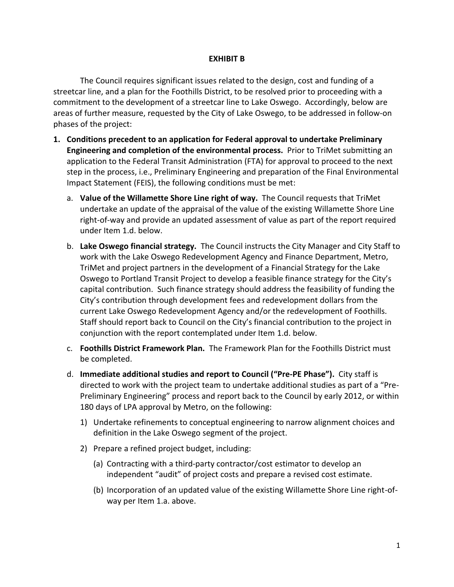#### **EXHIBIT B**

The Council requires significant issues related to the design, cost and funding of a streetcar line, and a plan for the Foothills District, to be resolved prior to proceeding with a commitment to the development of a streetcar line to Lake Oswego. Accordingly, below are areas of further measure, requested by the City of Lake Oswego, to be addressed in follow-on phases of the project:

- **1. Conditions precedent to an application for Federal approval to undertake Preliminary Engineering and completion of the environmental process.** Prior to TriMet submitting an application to the Federal Transit Administration (FTA) for approval to proceed to the next step in the process, i.e., Preliminary Engineering and preparation of the Final Environmental Impact Statement (FEIS), the following conditions must be met:
	- a. **Value of the Willamette Shore Line right of way.** The Council requests that TriMet undertake an update of the appraisal of the value of the existing Willamette Shore Line right-of-way and provide an updated assessment of value as part of the report required under Item 1.d. below.
	- b. **Lake Oswego financial strategy.** The Council instructs the City Manager and City Staff to work with the Lake Oswego Redevelopment Agency and Finance Department, Metro, TriMet and project partners in the development of a Financial Strategy for the Lake Oswego to Portland Transit Project to develop a feasible finance strategy for the City's capital contribution. Such finance strategy should address the feasibility of funding the City's contribution through development fees and redevelopment dollars from the current Lake Oswego Redevelopment Agency and/or the redevelopment of Foothills. Staff should report back to Council on the City's financial contribution to the project in conjunction with the report contemplated under Item 1.d. below.
	- c. **Foothills District Framework Plan.** The Framework Plan for the Foothills District must be completed.
	- d. **Immediate additional studies and report to Council ("Pre-PE Phase").** City staff is directed to work with the project team to undertake additional studies as part of a "Pre-Preliminary Engineering" process and report back to the Council by early 2012, or within 180 days of LPA approval by Metro, on the following:
		- 1) Undertake refinements to conceptual engineering to narrow alignment choices and definition in the Lake Oswego segment of the project.
		- 2) Prepare a refined project budget, including:
			- (a) Contracting with a third-party contractor/cost estimator to develop an independent "audit" of project costs and prepare a revised cost estimate.
			- (b) Incorporation of an updated value of the existing Willamette Shore Line right-ofway per Item 1.a. above.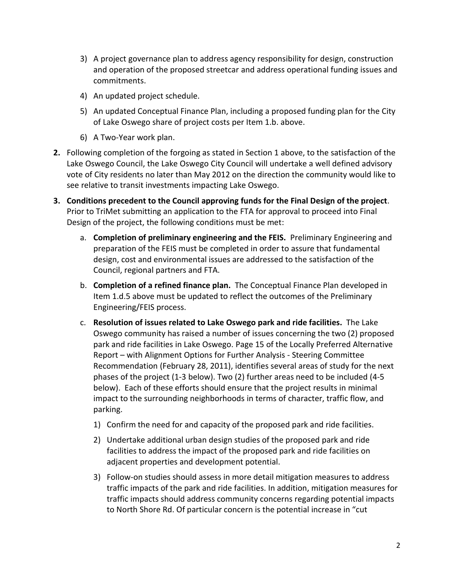- 3) A project governance plan to address agency responsibility for design, construction and operation of the proposed streetcar and address operational funding issues and commitments.
- 4) An updated project schedule.
- 5) An updated Conceptual Finance Plan, including a proposed funding plan for the City of Lake Oswego share of project costs per Item 1.b. above.
- 6) A Two-Year work plan.
- **2.** Following completion of the forgoing as stated in Section 1 above, to the satisfaction of the Lake Oswego Council, the Lake Oswego City Council will undertake a well defined advisory vote of City residents no later than May 2012 on the direction the community would like to see relative to transit investments impacting Lake Oswego.
- **3. Conditions precedent to the Council approving funds for the Final Design of the project**. Prior to TriMet submitting an application to the FTA for approval to proceed into Final Design of the project, the following conditions must be met:
	- a. **Completion of preliminary engineering and the FEIS.** Preliminary Engineering and preparation of the FEIS must be completed in order to assure that fundamental design, cost and environmental issues are addressed to the satisfaction of the Council, regional partners and FTA.
	- b. **Completion of a refined finance plan.** The Conceptual Finance Plan developed in Item 1.d.5 above must be updated to reflect the outcomes of the Preliminary Engineering/FEIS process.
	- c. **Resolution of issues related to Lake Oswego park and ride facilities.** The Lake Oswego community has raised a number of issues concerning the two (2) proposed park and ride facilities in Lake Oswego. Page 15 of the Locally Preferred Alternative Report – with Alignment Options for Further Analysis - Steering Committee Recommendation (February 28, 2011), identifies several areas of study for the next phases of the project (1-3 below). Two (2) further areas need to be included (4-5 below). Each of these efforts should ensure that the project results in minimal impact to the surrounding neighborhoods in terms of character, traffic flow, and parking.
		- 1) Confirm the need for and capacity of the proposed park and ride facilities.
		- 2) Undertake additional urban design studies of the proposed park and ride facilities to address the impact of the proposed park and ride facilities on adjacent properties and development potential.
		- 3) Follow‐on studies should assess in more detail mitigation measures to address traffic impacts of the park and ride facilities. In addition, mitigation measures for traffic impacts should address community concerns regarding potential impacts to North Shore Rd. Of particular concern is the potential increase in "cut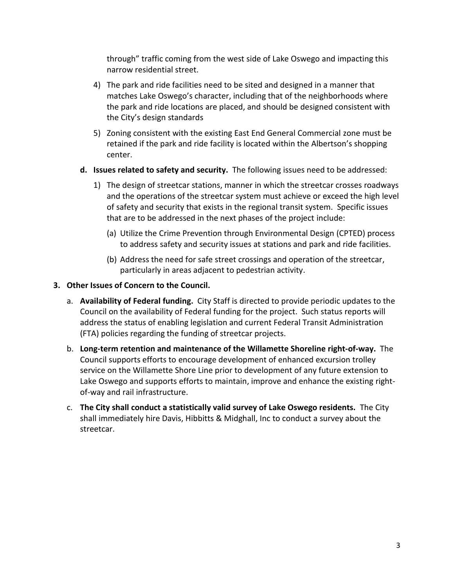through" traffic coming from the west side of Lake Oswego and impacting this narrow residential street.

- 4) The park and ride facilities need to be sited and designed in a manner that matches Lake Oswego's character, including that of the neighborhoods where the park and ride locations are placed, and should be designed consistent with the City's design standards
- 5) Zoning consistent with the existing East End General Commercial zone must be retained if the park and ride facility is located within the Albertson's shopping center.
- **d. Issues related to safety and security.** The following issues need to be addressed:
	- 1) The design of streetcar stations, manner in which the streetcar crosses roadways and the operations of the streetcar system must achieve or exceed the high level of safety and security that exists in the regional transit system. Specific issues that are to be addressed in the next phases of the project include:
		- (a) Utilize the Crime Prevention through Environmental Design (CPTED) process to address safety and security issues at stations and park and ride facilities.
		- (b) Address the need for safe street crossings and operation of the streetcar, particularly in areas adjacent to pedestrian activity.
- **3. Other Issues of Concern to the Council.**
	- a. **Availability of Federal funding.** City Staff is directed to provide periodic updates to the Council on the availability of Federal funding for the project. Such status reports will address the status of enabling legislation and current Federal Transit Administration (FTA) policies regarding the funding of streetcar projects.
	- b. **Long-term retention and maintenance of the Willamette Shoreline right-of-way.** The Council supports efforts to encourage development of enhanced excursion trolley service on the Willamette Shore Line prior to development of any future extension to Lake Oswego and supports efforts to maintain, improve and enhance the existing rightof-way and rail infrastructure.
	- c. **The City shall conduct a statistically valid survey of Lake Oswego residents.** The City shall immediately hire Davis, Hibbitts & Midghall, Inc to conduct a survey about the streetcar.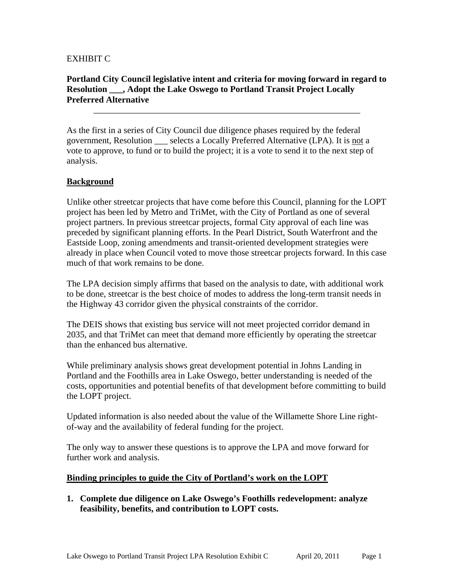### EXHIBIT C

#### **Portland City Council legislative intent and criteria for moving forward in regard to Resolution \_\_\_, Adopt the Lake Oswego to Portland Transit Project Locally Preferred Alternative**

\_\_\_\_\_\_\_\_\_\_\_\_\_\_\_\_\_\_\_\_\_\_\_\_\_\_\_\_\_\_\_\_\_\_\_\_\_\_\_\_\_\_\_\_\_\_\_\_\_\_\_\_\_\_\_\_\_\_\_\_

As the first in a series of City Council due diligence phases required by the federal government, Resolution \_\_\_ selects a Locally Preferred Alternative (LPA). It is not a vote to approve, to fund or to build the project; it is a vote to send it to the next step of analysis.

#### **Background**

Unlike other streetcar projects that have come before this Council, planning for the LOPT project has been led by Metro and TriMet, with the City of Portland as one of several project partners. In previous streetcar projects, formal City approval of each line was preceded by significant planning efforts. In the Pearl District, South Waterfront and the Eastside Loop, zoning amendments and transit-oriented development strategies were already in place when Council voted to move those streetcar projects forward. In this case much of that work remains to be done.

The LPA decision simply affirms that based on the analysis to date, with additional work to be done, streetcar is the best choice of modes to address the long-term transit needs in the Highway 43 corridor given the physical constraints of the corridor.

The DEIS shows that existing bus service will not meet projected corridor demand in 2035, and that TriMet can meet that demand more efficiently by operating the streetcar than the enhanced bus alternative.

While preliminary analysis shows great development potential in Johns Landing in Portland and the Foothills area in Lake Oswego, better understanding is needed of the costs, opportunities and potential benefits of that development before committing to build the LOPT project.

Updated information is also needed about the value of the Willamette Shore Line rightof-way and the availability of federal funding for the project.

The only way to answer these questions is to approve the LPA and move forward for further work and analysis.

#### **Binding principles to guide the City of Portland's work on the LOPT**

**1. Complete due diligence on Lake Oswego's Foothills redevelopment: analyze feasibility, benefits, and contribution to LOPT costs.**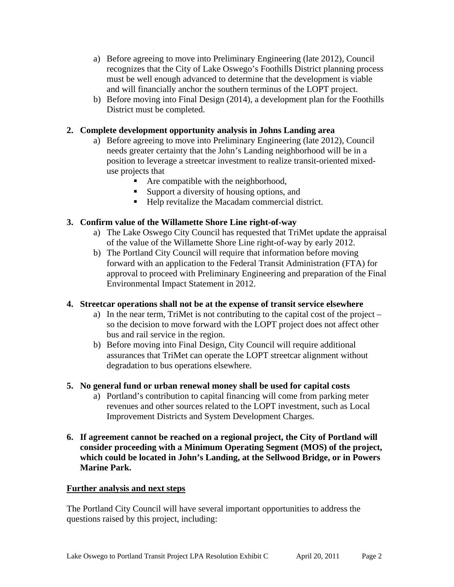- a) Before agreeing to move into Preliminary Engineering (late 2012), Council recognizes that the City of Lake Oswego's Foothills District planning process must be well enough advanced to determine that the development is viable and will financially anchor the southern terminus of the LOPT project.
- b) Before moving into Final Design (2014), a development plan for the Foothills District must be completed.

# **2. Complete development opportunity analysis in Johns Landing area**

- a) Before agreeing to move into Preliminary Engineering (late 2012), Council needs greater certainty that the John's Landing neighborhood will be in a position to leverage a streetcar investment to realize transit-oriented mixeduse projects that
	- Are compatible with the neighborhood,
	- Support a diversity of housing options, and
	- Help revitalize the Macadam commercial district.

## **3. Confirm value of the Willamette Shore Line right-of-way**

- a) The Lake Oswego City Council has requested that TriMet update the appraisal of the value of the Willamette Shore Line right-of-way by early 2012.
- b) The Portland City Council will require that information before moving forward with an application to the Federal Transit Administration (FTA) for approval to proceed with Preliminary Engineering and preparation of the Final Environmental Impact Statement in 2012.

## **4. Streetcar operations shall not be at the expense of transit service elsewhere**

- a) In the near term, TriMet is not contributing to the capital cost of the project so the decision to move forward with the LOPT project does not affect other bus and rail service in the region.
- b) Before moving into Final Design, City Council will require additional assurances that TriMet can operate the LOPT streetcar alignment without degradation to bus operations elsewhere.
- **5. No general fund or urban renewal money shall be used for capital costs** 
	- a) Portland's contribution to capital financing will come from parking meter revenues and other sources related to the LOPT investment, such as Local Improvement Districts and System Development Charges.
- **6. If agreement cannot be reached on a regional project, the City of Portland will consider proceeding with a Minimum Operating Segment (MOS) of the project, which could be located in John's Landing, at the Sellwood Bridge, or in Powers Marine Park.**

## **Further analysis and next steps**

The Portland City Council will have several important opportunities to address the questions raised by this project, including: